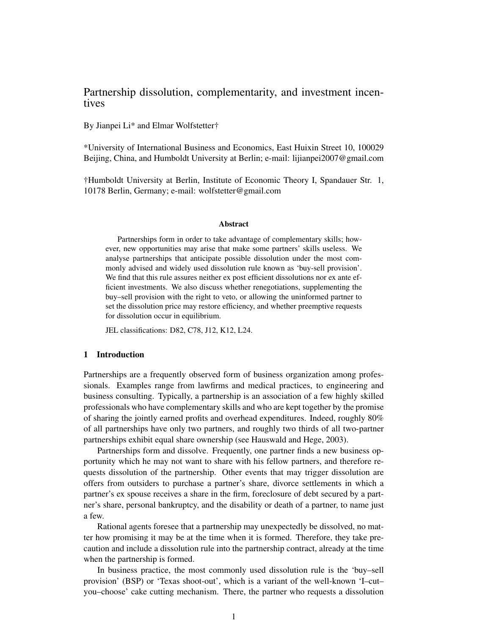# Partnership dissolution, complementarity, and investment incentives

By Jianpei Li\* and Elmar Wolfstetter†

\*University of International Business and Economics, East Huixin Street 10, 100029 Beijing, China, and Humboldt University at Berlin; e-mail: lijianpei2007@gmail.com

†Humboldt University at Berlin, Institute of Economic Theory I, Spandauer Str. 1, 10178 Berlin, Germany; e-mail: wolfstetter@gmail.com

#### Abstract

Partnerships form in order to take advantage of complementary skills; however, new opportunities may arise that make some partners' skills useless. We analyse partnerships that anticipate possible dissolution under the most commonly advised and widely used dissolution rule known as 'buy-sell provision'. We find that this rule assures neither ex post efficient dissolutions nor ex ante efficient investments. We also discuss whether renegotiations, supplementing the buy–sell provision with the right to veto, or allowing the uninformed partner to set the dissolution price may restore efficiency, and whether preemptive requests for dissolution occur in equilibrium.

JEL classifications: D82, C78, J12, K12, L24.

### 1 Introduction

Partnerships are a frequently observed form of business organization among professionals. Examples range from lawfirms and medical practices, to engineering and business consulting. Typically, a partnership is an association of a few highly skilled professionals who have complementary skills and who are kept together by the promise of sharing the jointly earned profits and overhead expenditures. Indeed, roughly 80% of all partnerships have only two partners, and roughly two thirds of all two-partner partnerships exhibit equal share ownership (see Hauswald and Hege, 2003).

Partnerships form and dissolve. Frequently, one partner finds a new business opportunity which he may not want to share with his fellow partners, and therefore requests dissolution of the partnership. Other events that may trigger dissolution are offers from outsiders to purchase a partner's share, divorce settlements in which a partner's ex spouse receives a share in the firm, foreclosure of debt secured by a partner's share, personal bankruptcy, and the disability or death of a partner, to name just a few.

Rational agents foresee that a partnership may unexpectedly be dissolved, no matter how promising it may be at the time when it is formed. Therefore, they take precaution and include a dissolution rule into the partnership contract, already at the time when the partnership is formed.

In business practice, the most commonly used dissolution rule is the 'buy–sell provision' (BSP) or 'Texas shoot-out', which is a variant of the well-known 'I–cut– you–choose' cake cutting mechanism. There, the partner who requests a dissolution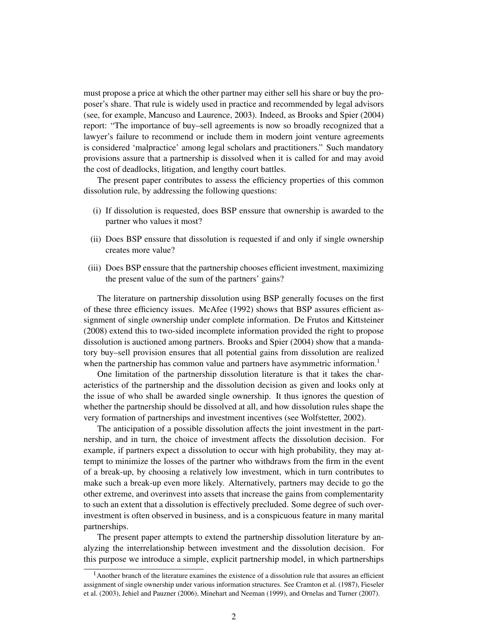must propose a price at which the other partner may either sell his share or buy the proposer's share. That rule is widely used in practice and recommended by legal advisors (see, for example, Mancuso and Laurence, 2003). Indeed, as Brooks and Spier (2004) report: "The importance of buy–sell agreements is now so broadly recognized that a lawyer's failure to recommend or include them in modern joint venture agreements is considered 'malpractice' among legal scholars and practitioners." Such mandatory provisions assure that a partnership is dissolved when it is called for and may avoid the cost of deadlocks, litigation, and lengthy court battles.

The present paper contributes to assess the efficiency properties of this common dissolution rule, by addressing the following questions:

- (i) If dissolution is requested, does BSP enssure that ownership is awarded to the partner who values it most?
- (ii) Does BSP enssure that dissolution is requested if and only if single ownership creates more value?
- (iii) Does BSP enssure that the partnership chooses efficient investment, maximizing the present value of the sum of the partners' gains?

The literature on partnership dissolution using BSP generally focuses on the first of these three efficiency issues. McAfee (1992) shows that BSP assures efficient assignment of single ownership under complete information. De Frutos and Kittsteiner (2008) extend this to two-sided incomplete information provided the right to propose dissolution is auctioned among partners. Brooks and Spier (2004) show that a mandatory buy–sell provision ensures that all potential gains from dissolution are realized when the partnership has common value and partners have asymmetric information.<sup>1</sup>

One limitation of the partnership dissolution literature is that it takes the characteristics of the partnership and the dissolution decision as given and looks only at the issue of who shall be awarded single ownership. It thus ignores the question of whether the partnership should be dissolved at all, and how dissolution rules shape the very formation of partnerships and investment incentives (see Wolfstetter, 2002).

The anticipation of a possible dissolution affects the joint investment in the partnership, and in turn, the choice of investment affects the dissolution decision. For example, if partners expect a dissolution to occur with high probability, they may attempt to minimize the losses of the partner who withdraws from the firm in the event of a break-up, by choosing a relatively low investment, which in turn contributes to make such a break-up even more likely. Alternatively, partners may decide to go the other extreme, and overinvest into assets that increase the gains from complementarity to such an extent that a dissolution is effectively precluded. Some degree of such overinvestment is often observed in business, and is a conspicuous feature in many marital partnerships.

The present paper attempts to extend the partnership dissolution literature by analyzing the interrelationship between investment and the dissolution decision. For this purpose we introduce a simple, explicit partnership model, in which partnerships

<sup>&</sup>lt;sup>1</sup> Another branch of the literature examines the existence of a dissolution rule that assures an efficient assignment of single ownership under various information structures. See Cramton et al. (1987), Fieseler et al. (2003), Jehiel and Pauzner (2006), Minehart and Neeman (1999), and Ornelas and Turner (2007).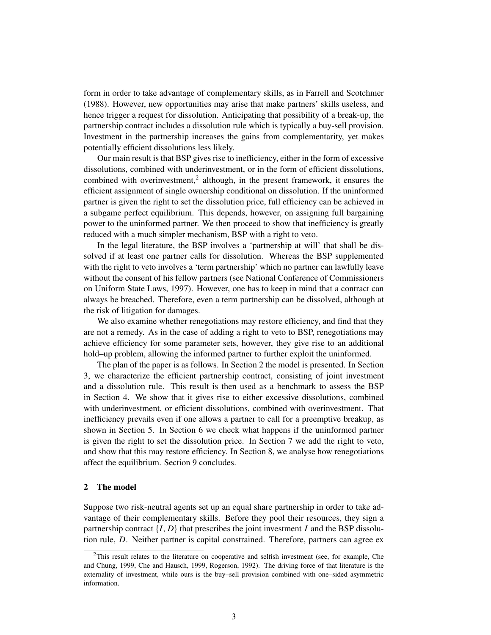form in order to take advantage of complementary skills, as in Farrell and Scotchmer (1988). However, new opportunities may arise that make partners' skills useless, and hence trigger a request for dissolution. Anticipating that possibility of a break-up, the partnership contract includes a dissolution rule which is typically a buy-sell provision. Investment in the partnership increases the gains from complementarity, yet makes potentially efficient dissolutions less likely.

Our main result is that BSP gives rise to inefficiency, either in the form of excessive dissolutions, combined with underinvestment, or in the form of efficient dissolutions, combined with overinvestment,<sup>2</sup> although, in the present framework, it ensures the efficient assignment of single ownership conditional on dissolution. If the uninformed partner is given the right to set the dissolution price, full efficiency can be achieved in a subgame perfect equilibrium. This depends, however, on assigning full bargaining power to the uninformed partner. We then proceed to show that inefficiency is greatly reduced with a much simpler mechanism, BSP with a right to veto.

In the legal literature, the BSP involves a 'partnership at will' that shall be dissolved if at least one partner calls for dissolution. Whereas the BSP supplemented with the right to veto involves a 'term partnership' which no partner can lawfully leave without the consent of his fellow partners (see National Conference of Commissioners on Uniform State Laws, 1997). However, one has to keep in mind that a contract can always be breached. Therefore, even a term partnership can be dissolved, although at the risk of litigation for damages.

We also examine whether renegotiations may restore efficiency, and find that they are not a remedy. As in the case of adding a right to veto to BSP, renegotiations may achieve efficiency for some parameter sets, however, they give rise to an additional hold–up problem, allowing the informed partner to further exploit the uninformed.

The plan of the paper is as follows. In Section 2 the model is presented. In Section 3, we characterize the efficient partnership contract, consisting of joint investment and a dissolution rule. This result is then used as a benchmark to assess the BSP in Section 4. We show that it gives rise to either excessive dissolutions, combined with underinvestment, or efficient dissolutions, combined with overinvestment. That inefficiency prevails even if one allows a partner to call for a preemptive breakup, as shown in Section 5. In Section 6 we check what happens if the uninformed partner is given the right to set the dissolution price. In Section 7 we add the right to veto, and show that this may restore efficiency. In Section 8, we analyse how renegotiations affect the equilibrium. Section 9 concludes.

# 2 The model

Suppose two risk-neutral agents set up an equal share partnership in order to take advantage of their complementary skills. Before they pool their resources, they sign a partnership contract  $\{I, D\}$  that prescribes the joint investment *I* and the BSP dissolution rule, *D*. Neither partner is capital constrained. Therefore, partners can agree ex

 $2$ This result relates to the literature on cooperative and selfish investment (see, for example, Che and Chung, 1999, Che and Hausch, 1999, Rogerson, 1992). The driving force of that literature is the externality of investment, while ours is the buy–sell provision combined with one–sided asymmetric information.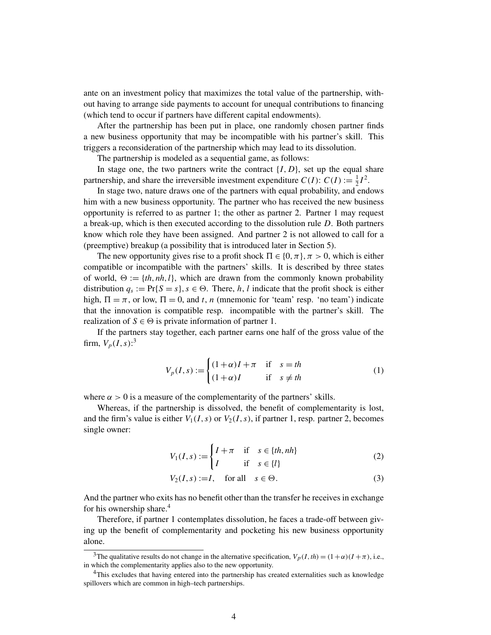ante on an investment policy that maximizes the total value of the partnership, without having to arrange side payments to account for unequal contributions to financing (which tend to occur if partners have different capital endowments).

After the partnership has been put in place, one randomly chosen partner finds a new business opportunity that may be incompatible with his partner's skill. This triggers a reconsideration of the partnership which may lead to its dissolution.

The partnership is modeled as a sequential game, as follows:

In stage one, the two partners write the contract  $\{I, D\}$ , set up the equal share partnership, and share the irreversible investment expenditure  $C(I)$ :  $C(I) := \frac{1}{2}$  $\frac{1}{2}I^2$ .

In stage two, nature draws one of the partners with equal probability, and endows him with a new business opportunity. The partner who has received the new business opportunity is referred to as partner 1; the other as partner 2. Partner 1 may request a break-up, which is then executed according to the dissolution rule *D*. Both partners know which role they have been assigned. And partner 2 is not allowed to call for a (preemptive) breakup (a possibility that is introduced later in Section 5).

The new opportunity gives rise to a profit shock  $\Pi \in \{0, \pi\}, \pi > 0$ , which is either compatible or incompatible with the partners' skills. It is described by three states of world,  $\Theta := \{th, nh, l\}$ , which are drawn from the commonly known probability distribution  $q_s := \Pr\{S = s\}, s \in \Theta$ . There, *h*, *l* indicate that the profit shock is either high,  $\Pi = \pi$ , or low,  $\Pi = 0$ , and *t*, *n* (mnemonic for 'team' resp. 'no team') indicate that the innovation is compatible resp. incompatible with the partner's skill. The realization of  $S \in \Theta$  is private information of partner 1.

If the partners stay together, each partner earns one half of the gross value of the firm,  $V_p(I, s)$ :<sup>3</sup>

$$
V_p(I,s) := \begin{cases} (1+\alpha)I + \pi & \text{if } s = th \\ (1+\alpha)I & \text{if } s \neq th \end{cases}
$$
 (1)

where  $\alpha > 0$  is a measure of the complementarity of the partners' skills.

Whereas, if the partnership is dissolved, the benefit of complementarity is lost, and the firm's value is either  $V_1(I, s)$  or  $V_2(I, s)$ , if partner 1, resp. partner 2, becomes single owner:

$$
V_1(I,s) := \begin{cases} I + \pi & \text{if } s \in \{th, nh\} \\ I & \text{if } s \in \{l\} \end{cases}
$$
 (2)

$$
V_2(I, s) := I, \quad \text{for all} \quad s \in \Theta. \tag{3}
$$

And the partner who exits has no benefit other than the transfer he receives in exchange for his ownership share.<sup>4</sup>

Therefore, if partner 1 contemplates dissolution, he faces a trade-off between giving up the benefit of complementarity and pocketing his new business opportunity alone.

<sup>&</sup>lt;sup>3</sup>The qualitative results do not change in the alternative specification,  $V_p(I, th) = (1 + \alpha)(I + \pi)$ , i.e., in which the complementarity applies also to the new opportunity.

<sup>&</sup>lt;sup>4</sup>This excludes that having entered into the partnership has created externalities such as knowledge spillovers which are common in high–tech partnerships.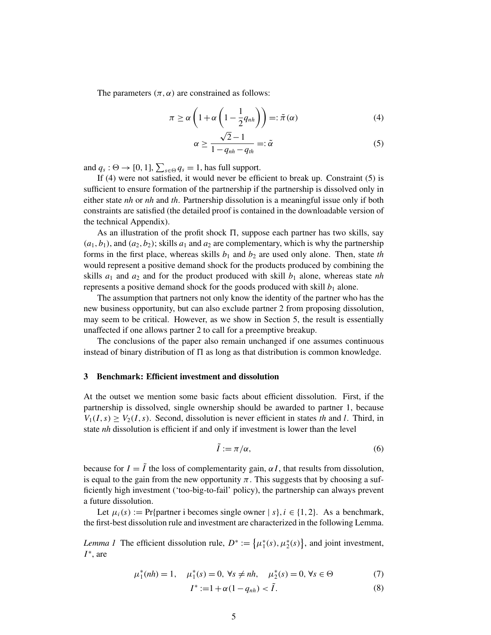The parameters  $(\pi, \alpha)$  are constrained as follows:

$$
\pi \ge \alpha \left( 1 + \alpha \left( 1 - \frac{1}{2} q_{nh} \right) \right) =: \tilde{\pi}(\alpha) \tag{4}
$$

$$
\alpha \ge \frac{\sqrt{2}-1}{1-q_{nh}-q_{th}} =: \tilde{\alpha}
$$
\n(5)

and  $q_s$ :  $\Theta \to [0, 1]$ ,  $\sum_{s \in \Theta} q_s = 1$ , has full support.

If (4) were not satisfied, it would never be efficient to break up. Constraint (5) is sufficient to ensure formation of the partnership if the partnership is dissolved only in either state *nh* or *nh* and *th*. Partnership dissolution is a meaningful issue only if both constraints are satisfied (the detailed proof is contained in the downloadable version of the technical Appendix).

As an illustration of the profit shock  $\Pi$ , suppose each partner has two skills, say  $(a_1, b_1)$ , and  $(a_2, b_2)$ ; skills  $a_1$  and  $a_2$  are complementary, which is why the partnership forms in the first place, whereas skills  $b_1$  and  $b_2$  are used only alone. Then, state *th* would represent a positive demand shock for the products produced by combining the skills  $a_1$  and  $a_2$  and for the product produced with skill  $b_1$  alone, whereas state *nh* represents a positive demand shock for the goods produced with skill  $b_1$  alone.

The assumption that partners not only know the identity of the partner who has the new business opportunity, but can also exclude partner 2 from proposing dissolution, may seem to be critical. However, as we show in Section 5, the result is essentially unaffected if one allows partner 2 to call for a preemptive breakup.

The conclusions of the paper also remain unchanged if one assumes continuous instead of binary distribution of  $\Pi$  as long as that distribution is common knowledge.

### 3 Benchmark: Efficient investment and dissolution

At the outset we mention some basic facts about efficient dissolution. First, if the partnership is dissolved, single ownership should be awarded to partner 1, because  $V_1(I,s) \geq V_2(I,s)$ . Second, dissolution is never efficient in states *th* and *l*. Third, in state *nh* dissolution is efficient if and only if investment is lower than the level

$$
\tilde{I} := \pi/\alpha,\tag{6}
$$

because for  $I = \tilde{I}$  the loss of complementarity gain,  $\alpha I$ , that results from dissolution, is equal to the gain from the new opportunity  $\pi$ . This suggests that by choosing a sufficiently high investment ('too-big-to-fail' policy), the partnership can always prevent a future dissolution.

Let  $\mu_i(s) := \text{Pr}\{\text{partner } i \text{ becomes single owner } | s\}, i \in \{1, 2\}.$  As a benchmark, the first-best dissolution rule and investment are characterized in the following Lemma.

*Lemma 1* The efficient dissolution rule,  $D^* := \{ \mu_1^* \}$  $\binom{1}{1}(s), \mu_2^*(s)$ , and joint investment, *I* ∗ , are

$$
\mu_1^*(nh) = 1, \quad \mu_1^*(s) = 0, \forall s \neq nh, \quad \mu_2^*(s) = 0, \forall s \in \Theta
$$
 (7)

$$
I^* := 1 + \alpha (1 - q_{nh}) < \tilde{I}.\tag{8}
$$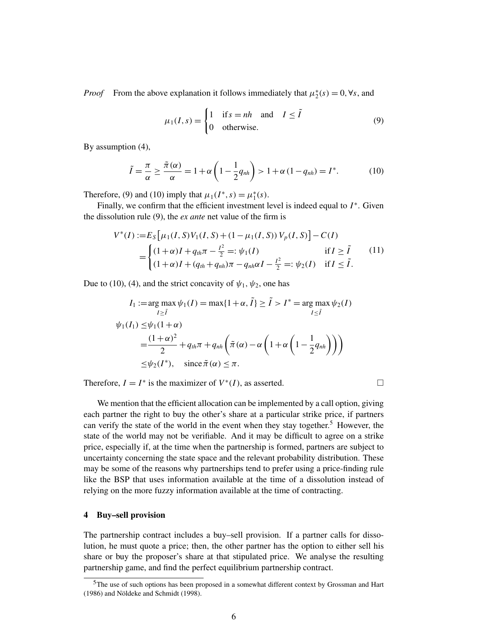*Proof* From the above explanation it follows immediately that  $\mu_2^*$  $x_2^*(s) = 0, ∀s$ , and

$$
\mu_1(I, s) = \begin{cases} 1 & \text{if } s = nh \text{ and } I \le \tilde{I} \\ 0 & \text{otherwise.} \end{cases} \tag{9}
$$

By assumption (4),

$$
\tilde{I} = \frac{\pi}{\alpha} \ge \frac{\tilde{\pi}(\alpha)}{\alpha} = 1 + \alpha \left( 1 - \frac{1}{2} q_{nh} \right) > 1 + \alpha \left( 1 - q_{nh} \right) = I^*.
$$
 (10)

Therefore, (9) and (10) imply that  $\mu_1(I^*, s) = \mu_1^*$  $_{1}^{*}(s).$ 

Finally, we confirm that the efficient investment level is indeed equal to *I* ∗ . Given the dissolution rule (9), the *ex ante* net value of the firm is

$$
V^*(I) := E_S[\mu_1(I, S) V_1(I, S) + (1 - \mu_1(I, S)) V_p(I, S)] - C(I)
$$
  
= 
$$
\begin{cases} (1 + \alpha)I + q_{th}\pi - \frac{I^2}{2} =: \psi_1(I) & \text{if } I \ge \tilde{I} \\ (1 + \alpha)I + (q_{th} + q_{nh})\pi - q_{nh}\alpha I - \frac{I^2}{2} =: \psi_2(I) & \text{if } I \le \tilde{I}. \end{cases}
$$
(11)

Due to (10), (4), and the strict concavity of  $\psi_1, \psi_2$ , one has

$$
I_1 := \arg \max_{I \geq \tilde{I}} \psi_1(I) = \max\{1 + \alpha, \tilde{I}\} \geq \tilde{I} > I^* = \arg \max_{I \leq \tilde{I}} \psi_2(I)
$$
  

$$
\psi_1(I_1) \leq \psi_1(1 + \alpha)
$$
  

$$
= \frac{(1 + \alpha)^2}{2} + q_{th}\pi + q_{nh} \left(\tilde{\pi}(\alpha) - \alpha \left(1 + \alpha \left(1 - \frac{1}{2}q_{nh}\right)\right)\right)
$$
  

$$
\leq \psi_2(I^*), \quad \text{since } \tilde{\pi}(\alpha) \leq \pi.
$$

Therefore,  $I = I^*$  is the maximizer of  $V^*(I)$ , as asserted.

We mention that the efficient allocation can be implemented by a call option, giving each partner the right to buy the other's share at a particular strike price, if partners can verify the state of the world in the event when they stay together.<sup>5</sup> However, the state of the world may not be verifiable. And it may be difficult to agree on a strike price, especially if, at the time when the partnership is formed, partners are subject to uncertainty concerning the state space and the relevant probability distribution. These may be some of the reasons why partnerships tend to prefer using a price-finding rule like the BSP that uses information available at the time of a dissolution instead of relying on the more fuzzy information available at the time of contracting.

# 4 Buy–sell provision

The partnership contract includes a buy–sell provision. If a partner calls for dissolution, he must quote a price; then, the other partner has the option to either sell his share or buy the proposer's share at that stipulated price. We analyse the resulting partnership game, and find the perfect equilibrium partnership contract.

<sup>&</sup>lt;sup>5</sup>The use of such options has been proposed in a somewhat different context by Grossman and Hart (1986) and Nöldeke and Schmidt (1998).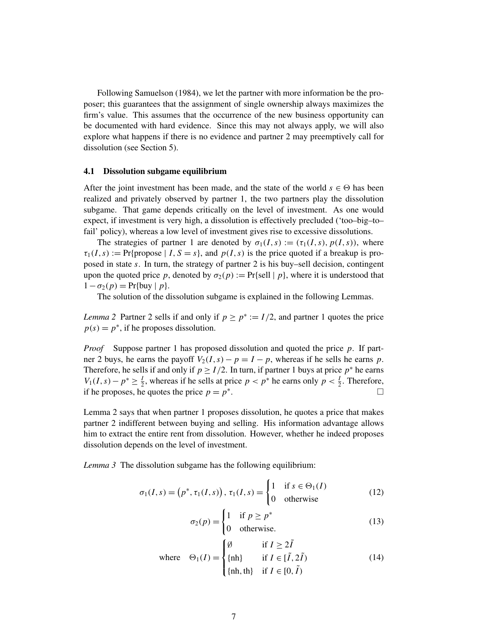Following Samuelson (1984), we let the partner with more information be the proposer; this guarantees that the assignment of single ownership always maximizes the firm's value. This assumes that the occurrence of the new business opportunity can be documented with hard evidence. Since this may not always apply, we will also explore what happens if there is no evidence and partner 2 may preemptively call for dissolution (see Section 5).

## 4.1 Dissolution subgame equilibrium

After the joint investment has been made, and the state of the world  $s \in \Theta$  has been realized and privately observed by partner 1, the two partners play the dissolution subgame. That game depends critically on the level of investment. As one would expect, if investment is very high, a dissolution is effectively precluded ('too–big–to– fail' policy), whereas a low level of investment gives rise to excessive dissolutions.

The strategies of partner 1 are denoted by  $\sigma_1(I,s) := (\tau_1(I,s), p(I,s))$ , where  $\tau_1(I,s) := \Pr{\text{propose} \mid I, S = s\},\$  and  $p(I,s)$  is the price quoted if a breakup is proposed in state *s*. In turn, the strategy of partner 2 is his buy–sell decision, contingent upon the quoted price p, denoted by  $\sigma_2(p) := \Pr\{\text{sell} \mid p\}$ , where it is understood that  $1 - \sigma_2(p) = Pr\{buy | p\}.$ 

The solution of the dissolution subgame is explained in the following Lemmas.

*Lemma* 2 Partner 2 sells if and only if  $p \ge p^* := I/2$ , and partner 1 quotes the price  $p(s) = p^*$ , if he proposes dissolution.

*Proof* Suppose partner 1 has proposed dissolution and quoted the price *p*. If partner 2 buys, he earns the payoff  $V_2(I,s) - p = I - p$ , whereas if he sells he earns *p*. Therefore, he sells if and only if  $p \geq I/2$ . In turn, if partner 1 buys at price  $p^*$  he earns *V*<sub>1</sub>(*I*, *s*)−  $p^*$  ≥  $\frac{1}{2}$  $\frac{1}{2}$ , whereas if he sells at price  $p < p^*$  he earns only  $p < \frac{1}{2}$  $\frac{1}{2}$ . Therefore, if he proposes, he quotes the price  $p = p^*$ .

Lemma 2 says that when partner 1 proposes dissolution, he quotes a price that makes partner 2 indifferent between buying and selling. His information advantage allows him to extract the entire rent from dissolution. However, whether he indeed proposes dissolution depends on the level of investment.

*Lemma 3* The dissolution subgame has the following equilibrium:

$$
\sigma_1(I,s) = (p^*, \tau_1(I,s)), \tau_1(I,s) = \begin{cases} 1 & \text{if } s \in \Theta_1(I) \\ 0 & \text{otherwise} \end{cases}
$$
 (12)

$$
\sigma_2(p) = \begin{cases} 1 & \text{if } p \ge p^* \\ 0 & \text{otherwise.} \end{cases}
$$
 (13)

where 
$$
\Theta_1(I) = \begin{cases} \emptyset & \text{if } I \ge 2\tilde{I} \\ \{\text{nh}\} & \text{if } I \in [\tilde{I}, 2\tilde{I}) \\ \{\text{nh}, \text{th}\} & \text{if } I \in [0, \tilde{I}) \end{cases}
$$
 (14)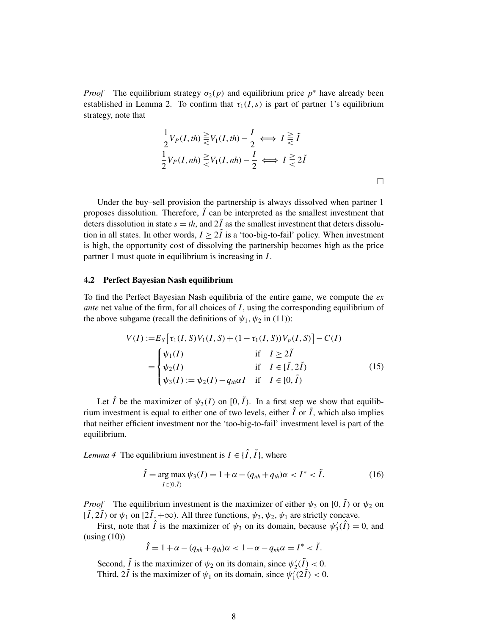*Proof* The equilibrium strategy  $\sigma_2(p)$  and equilibrium price  $p^*$  have already been established in Lemma 2. To confirm that  $\tau_1(I,s)$  is part of partner 1's equilibrium strategy, note that

$$
\frac{1}{2}V_P(I, th) \geq V_1(I, th) - \frac{I}{2} \iff I \geq \tilde{I}
$$
  

$$
\frac{1}{2}V_P(I, nh) \geq V_1(I, nh) - \frac{I}{2} \iff I \geq \tilde{2}\tilde{I}
$$

Under the buy–sell provision the partnership is always dissolved when partner 1 proposes dissolution. Therefore,  $\tilde{I}$  can be interpreted as the smallest investment that deters dissolution in state  $s = th$ , and  $2\tilde{I}$  as the smallest investment that deters dissolution in all states. In other words,  $I > 2\tilde{I}$  is a 'too-big-to-fail' policy. When investment is high, the opportunity cost of dissolving the partnership becomes high as the price partner 1 must quote in equilibrium is increasing in *I*.

#### 4.2 Perfect Bayesian Nash equilibrium

To find the Perfect Bayesian Nash equilibria of the entire game, we compute the *ex ante* net value of the firm, for all choices of *I*, using the corresponding equilibrium of the above subgame (recall the definitions of  $\psi_1, \psi_2$  in (11)):

$$
V(I) := E_S [\tau_1(I, S) V_1(I, S) + (1 - \tau_1(I, S)) V_p(I, S)] - C(I)
$$
  
= 
$$
\begin{cases} \psi_1(I) & \text{if } I \ge 2\tilde{I} \\ \psi_2(I) & \text{if } I \in [\tilde{I}, 2\tilde{I}) \\ \psi_3(I) := \psi_2(I) - q_{th}\alpha I & \text{if } I \in [0, \tilde{I}) \end{cases}
$$
(15)

Let  $\hat{I}$  be the maximizer of  $\psi_3(I)$  on  $[0, \tilde{I})$ . In a first step we show that equilibrium investment is equal to either one of two levels, either  $\hat{I}$  or  $\tilde{I}$ , which also implies that neither efficient investment nor the 'too-big-to-fail' investment level is part of the equilibrium.

*Lemma 4* The equilibrium investment is  $I \in \{\hat{I}, \tilde{I}\}\,$ , where

$$
\hat{I} = \underset{I \in [0,\tilde{I})}{\arg \max} \psi_3(I) = 1 + \alpha - (q_{nh} + q_{th})\alpha < I^* < \tilde{I}.\tag{16}
$$

*Proof* The equilibrium investment is the maximizer of either  $\psi_3$  on [0,  $\tilde{I}$ ) or  $\psi_2$  on  $[\tilde{I}, 2\tilde{I})$  or  $\psi_1$  on  $[2\tilde{I}, +\infty)$ . All three functions,  $\psi_3$ ,  $\psi_2$ ,  $\psi_1$  are strictly concave.

First, note that  $\hat{I}$  is the maximizer of  $\psi_3$  on its domain, because  $\psi'_3$  $y_3'(\hat{I}) = 0$ , and (using (10))

$$
\hat{I}=1+\alpha-(q_{nh}+q_{th})\alpha<1+\alpha-q_{nh}\alpha=I^*<\tilde{I}.
$$

Second,  $\tilde{I}$  is the maximizer of  $\psi_2$  on its domain, since  $\psi_2'$  $y_2'(\tilde{I}) < 0.$ Third,  $2\tilde{l}$  is the maximizer of  $\psi_1$  on its domain, since  $\psi_1$  $\sum_{1}^{2} (2I)^{2} < 0.$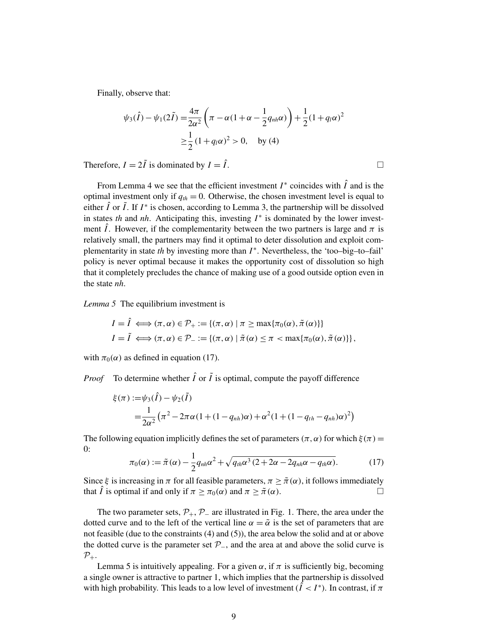Finally, observe that:

$$
\psi_3(\hat{I}) - \psi_1(2\tilde{I}) = \frac{4\pi}{2\alpha^2} \left(\pi - \alpha(1 + \alpha - \frac{1}{2}q_{nh}\alpha)\right) + \frac{1}{2}(1 + q_l\alpha)^2
$$
  

$$
\geq \frac{1}{2}(1 + q_l\alpha)^2 > 0, \text{ by (4)}
$$

Therefore,  $I = 2\tilde{I}$  is dominated by  $I = \hat{I}$ .

From Lemma 4 we see that the efficient investment  $I^*$  coincides with  $\hat{I}$  and is the optimal investment only if  $q_{th} = 0$ . Otherwise, the chosen investment level is equal to either  $\hat{I}$  or  $\tilde{I}$ . If  $I^*$  is chosen, according to Lemma 3, the partnership will be dissolved in states *th* and *nh*. Anticipating this, investing  $I^*$  is dominated by the lower investment  $\hat{I}$ . However, if the complementarity between the two partners is large and  $\pi$  is relatively small, the partners may find it optimal to deter dissolution and exploit complementarity in state *th* by investing more than *I* ∗ . Nevertheless, the 'too–big–to–fail' policy is never optimal because it makes the opportunity cost of dissolution so high that it completely precludes the chance of making use of a good outside option even in the state *nh*.

*Lemma 5* The equilibrium investment is

$$
I = \hat{I} \iff (\pi, \alpha) \in \mathcal{P}_+ := \{ (\pi, \alpha) \mid \pi \ge \max \{ \pi_0(\alpha), \tilde{\pi}(\alpha) \} \}
$$
  

$$
I = \tilde{I} \iff (\pi, \alpha) \in \mathcal{P}_- := \{ (\pi, \alpha) \mid \tilde{\pi}(\alpha) \le \pi < \max \{ \pi_0(\alpha), \tilde{\pi}(\alpha) \} \},
$$

with  $\pi_0(\alpha)$  as defined in equation (17).

*Proof* To determine whether  $\hat{I}$  or  $\tilde{I}$  is optimal, compute the payoff difference

$$
\xi(\pi) := \psi_3(\hat{I}) - \psi_2(\tilde{I})
$$
  
=  $\frac{1}{2\alpha^2} (\pi^2 - 2\pi\alpha (1 + (1 - q_{nh})\alpha) + \alpha^2 (1 + (1 - q_{th} - q_{nh})\alpha)^2)$ 

The following equation implicitly defines the set of parameters ( $\pi, \alpha$ ) for which  $\xi(\pi) =$ 0:

$$
\pi_0(\alpha) := \tilde{\pi}(\alpha) - \frac{1}{2} q_{nh} \alpha^2 + \sqrt{q_{th} \alpha^3 (2 + 2\alpha - 2q_{nh} \alpha - q_{th} \alpha)}.
$$
 (17)

Since  $\xi$  is increasing in  $\pi$  for all feasible parameters,  $\pi \geq \tilde{\pi}(\alpha)$ , it follows immediately that  $\hat{I}$  is optimal if and only if  $\pi \geq \pi_0(\alpha)$  and  $\pi \geq \tilde{\pi}(\alpha)$ .

The two parameter sets,  $\mathcal{P}_+$ ,  $\mathcal{P}_-$  are illustrated in Fig. 1. There, the area under the dotted curve and to the left of the vertical line  $\alpha = \tilde{\alpha}$  is the set of parameters that are not feasible (due to the constraints (4) and (5)), the area below the solid and at or above the dotted curve is the parameter set  $\mathcal{P}_-$ , and the area at and above the solid curve is  $\mathcal{P}_+.$ 

Lemma 5 is intuitively appealing. For a given  $\alpha$ , if  $\pi$  is sufficiently big, becoming a single owner is attractive to partner 1, which implies that the partnership is dissolved with high probability. This leads to a low level of investment  $(\hat{I} < I^*)$ . In contrast, if  $\pi$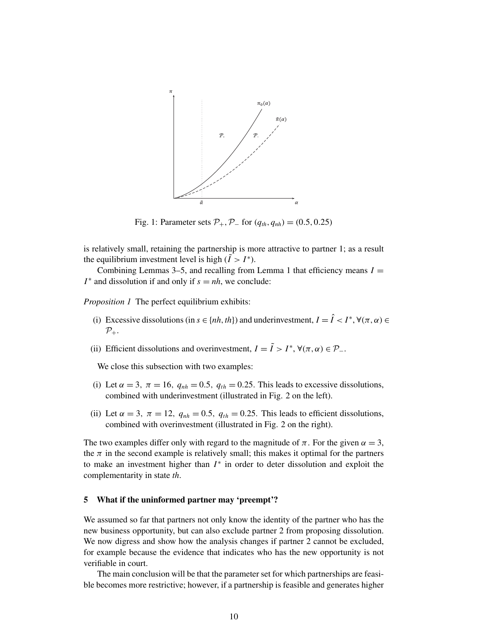

Fig. 1: Parameter sets  $P_+$ ,  $P_-$  for  $(q_{th}, q_{nh}) = (0.5, 0.25)$ 

is relatively small, retaining the partnership is more attractive to partner 1; as a result the equilibrium investment level is high  $(\tilde{I} > I^*)$ .

Combining Lemmas 3–5, and recalling from Lemma 1 that efficiency means  $I =$ *I*<sup>\*</sup> and dissolution if and only if  $s = nh$ , we conclude:

*Proposition 1* The perfect equilibrium exhibits:

- (i) Excessive dissolutions (in  $s \in \{nh, th\}$ ) and underinvestment,  $I = \hat{I} < I^*$ ,  $\forall (\pi, \alpha) \in$  $\mathcal{P}_+$ .
- (ii) Efficient dissolutions and overinvestment,  $I = \tilde{I} > I^*$ ,  $\forall (\pi, \alpha) \in \mathcal{P}_-$ .

We close this subsection with two examples:

- (i) Let  $\alpha = 3$ ,  $\pi = 16$ ,  $q_{nh} = 0.5$ ,  $q_{th} = 0.25$ . This leads to excessive dissolutions, combined with underinvestment (illustrated in Fig. 2 on the left).
- (ii) Let  $\alpha = 3$ ,  $\pi = 12$ ,  $q_{nh} = 0.5$ ,  $q_{th} = 0.25$ . This leads to efficient dissolutions, combined with overinvestment (illustrated in Fig. 2 on the right).

The two examples differ only with regard to the magnitude of  $\pi$ . For the given  $\alpha = 3$ , the  $\pi$  in the second example is relatively small; this makes it optimal for the partners to make an investment higher than *I* ∗ in order to deter dissolution and exploit the complementarity in state *th*.

### 5 What if the uninformed partner may 'preempt'?

We assumed so far that partners not only know the identity of the partner who has the new business opportunity, but can also exclude partner 2 from proposing dissolution. We now digress and show how the analysis changes if partner 2 cannot be excluded, for example because the evidence that indicates who has the new opportunity is not verifiable in court.

The main conclusion will be that the parameter set for which partnerships are feasible becomes more restrictive; however, if a partnership is feasible and generates higher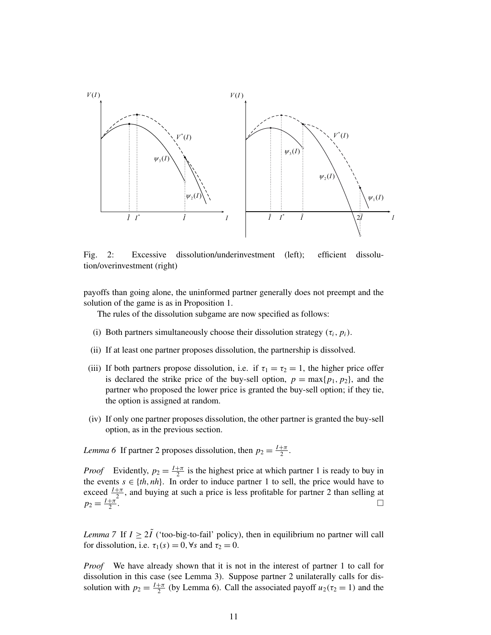

Fig. 2: Excessive dissolution/underinvestment (left); efficient dissolution/overinvestment (right)

payoffs than going alone, the uninformed partner generally does not preempt and the solution of the game is as in Proposition 1.

The rules of the dissolution subgame are now specified as follows:

- (i) Both partners simultaneously choose their dissolution strategy  $(\tau_i, p_i)$ .
- (ii) If at least one partner proposes dissolution, the partnership is dissolved.
- (iii) If both partners propose dissolution, i.e. if  $\tau_1 = \tau_2 = 1$ , the higher price offer is declared the strike price of the buy-sell option,  $p = max\{p_1, p_2\}$ , and the partner who proposed the lower price is granted the buy-sell option; if they tie, the option is assigned at random.
- (iv) If only one partner proposes dissolution, the other partner is granted the buy-sell option, as in the previous section.

*Lemma 6* If partner 2 proposes dissolution, then  $p_2 = \frac{I + \pi}{2}$  $\frac{+\pi}{2}$ .

*Proof* Evidently,  $p_2 = \frac{I + \pi}{2}$  $\frac{1}{2}$  is the highest price at which partner 1 is ready to buy in the events  $s \in \{th, nh\}$ . In order to induce partner 1 to sell, the price would have to exceed  $\frac{I+\pi}{2}$ , and buying at such a price is less profitable for partner 2 than selling at  $p_2 = \frac{I + \pi}{2}$ 2 . The contract of the contract of the contract of the contract of  $\Box$ 

*Lemma* 7 If  $I \geq 2\tilde{I}$  ('too-big-to-fail' policy), then in equilibrium no partner will call for dissolution, i.e.  $\tau_1(s) = 0$ ,  $\forall s$  and  $\tau_2 = 0$ .

*Proof* We have already shown that it is not in the interest of partner 1 to call for dissolution in this case (see Lemma 3). Suppose partner 2 unilaterally calls for dissolution with  $p_2 = \frac{I + \pi}{2}$  $\frac{2\pi}{2}$  (by Lemma 6). Call the associated payoff  $u_2(\tau_2 = 1)$  and the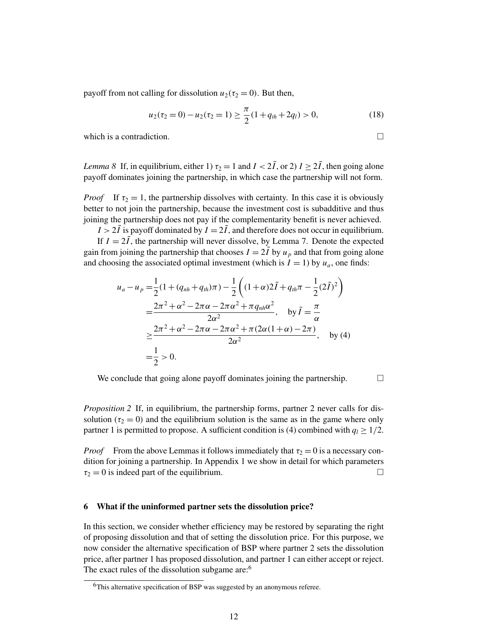payoff from not calling for dissolution  $u_2(\tau_2 = 0)$ . But then,

$$
u_2(\tau_2 = 0) - u_2(\tau_2 = 1) \ge \frac{\pi}{2} (1 + q_{th} + 2q_l) > 0,
$$
\n(18)

which is a contradiction.  $\Box$ 

*Lemma 8* If, in equilibrium, either 1)  $\tau_2 = 1$  and  $I < 2\tilde{I}$ , or 2)  $I \ge 2\tilde{I}$ , then going alone payoff dominates joining the partnership, in which case the partnership will not form.

*Proof* If  $\tau_2 = 1$ , the partnership dissolves with certainty. In this case it is obviously better to not join the partnership, because the investment cost is subadditive and thus joining the partnership does not pay if the complementarity benefit is never achieved.

 $I > 2\tilde{I}$  is payoff dominated by  $I = 2\tilde{I}$ , and therefore does not occur in equilibrium.

If  $I = 2\tilde{I}$ , the partnership will never dissolve, by Lemma 7. Denote the expected gain from joining the partnership that chooses  $I = 2\tilde{I}$  by  $u_p$  and that from going alone and choosing the associated optimal investment (which is  $I = 1$ ) by  $u_a$ , one finds:

$$
u_{a} - u_{p} = \frac{1}{2} (1 + (q_{nh} + q_{th})\pi) - \frac{1}{2} \left( (1 + \alpha)2\tilde{I} + q_{th}\pi - \frac{1}{2} (2\tilde{I})^{2} \right)
$$
  
= 
$$
\frac{2\pi^{2} + \alpha^{2} - 2\pi\alpha - 2\pi\alpha^{2} + \pi q_{nh}\alpha^{2}}{2\alpha^{2}}, \text{ by } \tilde{I} = \frac{\pi}{\alpha}
$$
  

$$
\geq \frac{2\pi^{2} + \alpha^{2} - 2\pi\alpha - 2\pi\alpha^{2} + \pi (2\alpha(1 + \alpha) - 2\pi)}{2\alpha^{2}}, \text{ by (4)}
$$
  
= 
$$
\frac{1}{2} > 0.
$$

We conclude that going alone payoff dominates joining the partnership.  $\Box$ 

*Proposition 2* If, in equilibrium, the partnership forms, partner 2 never calls for dissolution ( $\tau_2 = 0$ ) and the equilibrium solution is the same as in the game where only partner 1 is permitted to propose. A sufficient condition is (4) combined with  $q_l \geq 1/2$ .

*Proof* From the above Lemmas it follows immediately that  $\tau_2 = 0$  is a necessary condition for joining a partnership. In Appendix 1 we show in detail for which parameters  $\tau_2 = 0$  is indeed part of the equilibrium.

# 6 What if the uninformed partner sets the dissolution price?

In this section, we consider whether efficiency may be restored by separating the right of proposing dissolution and that of setting the dissolution price. For this purpose, we now consider the alternative specification of BSP where partner 2 sets the dissolution price, after partner 1 has proposed dissolution, and partner 1 can either accept or reject. The exact rules of the dissolution subgame are:<sup>6</sup>

<sup>6</sup>This alternative specification of BSP was suggested by an anonymous referee.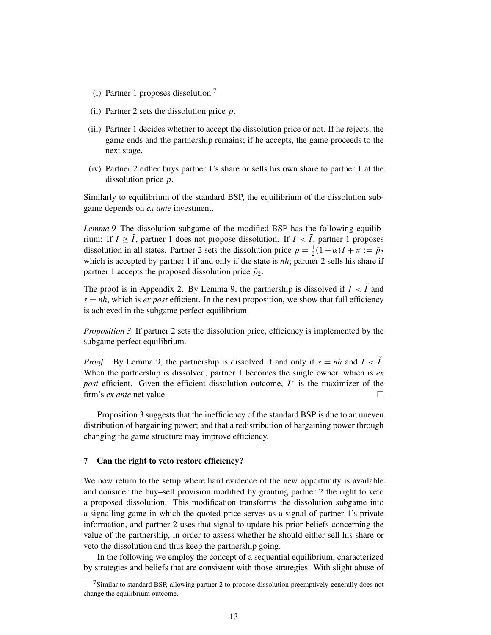- (i) Partner 1 proposes dissolution.<sup>7</sup>
- (ii) Partner 2 sets the dissolution price *p*.
- (iii) Partner 1 decides whether to accept the dissolution price or not. If he rejects, the game ends and the partnership remains; if he accepts, the game proceeds to the next stage.
- (iv) Partner 2 either buys partner 1's share or sells his own share to partner 1 at the dissolution price *p*.

Similarly to equilibrium of the standard BSP, the equilibrium of the dissolution subgame depends on *ex ante* investment.

*Lemma 9* The dissolution subgame of the modified BSP has the following equilibrium: If  $I \geq \tilde{I}$ , partner 1 does not propose dissolution. If  $I < \tilde{I}$ , partner 1 proposes dissolution in all states. Partner 2 sets the dissolution price  $p = \frac{1}{2}$  $\frac{1}{2}(1-\alpha)I + \pi := \bar{p}_2$ which is accepted by partner 1 if and only if the state is *nh*; partner 2 sells his share if partner 1 accepts the proposed dissolution price  $\bar{p}_2$ .

The proof is in Appendix 2. By Lemma 9, the partnership is dissolved if  $I < \tilde{I}$  and  $s = nh$ , which is *ex post* efficient. In the next proposition, we show that full efficiency is achieved in the subgame perfect equilibrium.

*Proposition 3* If partner 2 sets the dissolution price, efficiency is implemented by the subgame perfect equilibrium.

*Proof* By Lemma 9, the partnership is dissolved if and only if  $s = nh$  and  $I < I$ . When the partnership is dissolved, partner 1 becomes the single owner, which is *ex post* efficient. Given the efficient dissolution outcome, *I*<sup>∗</sup> is the maximizer of the firm's *ex ante* net value.

Proposition 3 suggests that the inefficiency of the standard BSP is due to an uneven distribution of bargaining power; and that a redistribution of bargaining power through changing the game structure may improve efficiency.

### 7 Can the right to veto restore efficiency?

We now return to the setup where hard evidence of the new opportunity is available and consider the buy–sell provision modified by granting partner 2 the right to veto a proposed dissolution. This modification transforms the dissolution subgame into a signalling game in which the quoted price serves as a signal of partner 1's private information, and partner 2 uses that signal to update his prior beliefs concerning the value of the partnership, in order to assess whether he should either sell his share or veto the dissolution and thus keep the partnership going.

In the following we employ the concept of a sequential equilibrium, characterized by strategies and beliefs that are consistent with those strategies. With slight abuse of

 $7$ Similar to standard BSP, allowing partner 2 to propose dissolution preemptively generally does not change the equilibrium outcome.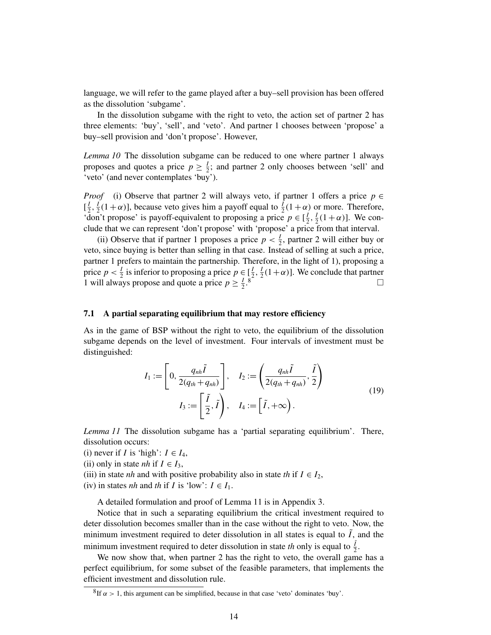language, we will refer to the game played after a buy–sell provision has been offered as the dissolution 'subgame'.

In the dissolution subgame with the right to veto, the action set of partner 2 has three elements: 'buy', 'sell', and 'veto'. And partner 1 chooses between 'propose' a buy–sell provision and 'don't propose'. However,

*Lemma 10* The dissolution subgame can be reduced to one where partner 1 always proposes and quotes a price  $p \geq \frac{1}{2}$  $\frac{1}{2}$ ; and partner 2 only chooses between 'sell' and 'veto' (and never contemplates 'buy').

*Proof* (i) Observe that partner 2 will always veto, if partner 1 offers a price  $p \in$  $\left[\frac{l}{2}\right]$  $\frac{1}{2}, \frac{1}{2}$  $\frac{1}{2}(1+\alpha)$ ], because veto gives him a payoff equal to  $\frac{1}{2}(1+\alpha)$  or more. Therefore, 'don't propose' is payoff-equivalent to proposing a price  $p \in \left[\frac{1}{2}\right]$  $\frac{1}{2}, \frac{1}{2}$  $\frac{1}{2}(1+\alpha)$ ]. We conclude that we can represent 'don't propose' with 'propose' a price from that interval.

(ii) Observe that if partner 1 proposes a price  $p < \frac{1}{2}$  $\frac{1}{2}$ , partner 2 will either buy or veto, since buying is better than selling in that case. Instead of selling at such a price, partner 1 prefers to maintain the partnership. Therefore, in the light of 1), proposing a price  $p < \frac{1}{2}$  $\frac{1}{2}$  is inferior to proposing a price  $p \in \left[\frac{1}{2}\right]$  $\frac{1}{2}, \frac{1}{2}$  $\frac{1}{2}(1+\alpha)$ ]. We conclude that partner 1 will always propose and quote a price  $p \geq \frac{1}{2}$  $\frac{1}{2}$ .

# 7.1 A partial separating equilibrium that may restore efficiency

As in the game of BSP without the right to veto, the equilibrium of the dissolution subgame depends on the level of investment. Four intervals of investment must be distinguished:

$$
I_1 := \left[ 0, \frac{q_{nh}\tilde{I}}{2(q_{th} + q_{nh})} \right], \quad I_2 := \left( \frac{q_{nh}\tilde{I}}{2(q_{th} + q_{nh})}, \frac{\tilde{I}}{2} \right)
$$

$$
I_3 := \left[ \frac{\tilde{I}}{2}, \tilde{I} \right), \quad I_4 := \left[ \tilde{I}, +\infty \right).
$$
(19)

*Lemma 11* The dissolution subgame has a 'partial separating equilibrium'. There, dissolution occurs:

- (i) never if *I* is 'high':  $I \in I_4$ ,
- (ii) only in state *nh* if  $I \in I_3$ ,
- (iii) in state *nh* and with positive probability also in state *th* if  $I \in I_2$ ,
- (iv) in states *nh* and *th* if *I* is 'low':  $I \in I_1$ .

A detailed formulation and proof of Lemma 11 is in Appendix 3.

Notice that in such a separating equilibrium the critical investment required to deter dissolution becomes smaller than in the case without the right to veto. Now, the minimum investment required to deter dissolution in all states is equal to *I*, and the minimum investment required to deter dissolution in state *th* only is equal to  $\frac{7}{2}$ .

We now show that, when partner 2 has the right to veto, the overall game has a perfect equilibrium, for some subset of the feasible parameters, that implements the efficient investment and dissolution rule.

 ${}^{8}$ If  $\alpha$  > 1, this argument can be simplified, because in that case 'veto' dominates 'buy'.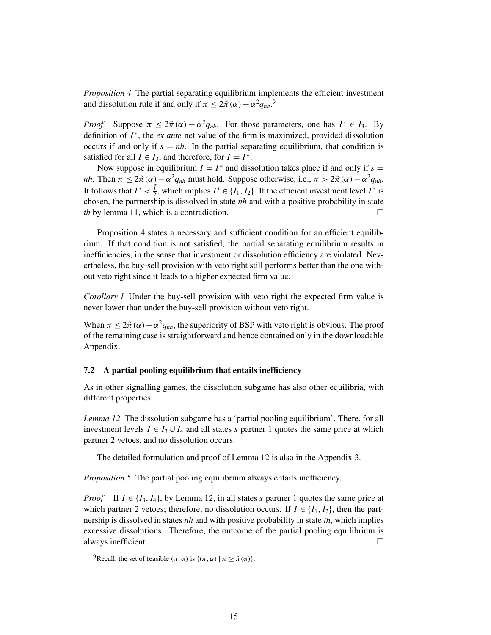*Proposition 4* The partial separating equilibrium implements the efficient investment and dissolution rule if and only if  $\pi \leq 2\tilde{\pi}(\alpha) - \alpha^2 q_{nh}^2$ .

*Proof* Suppose  $\pi \leq 2\tilde{\pi}(\alpha) - \alpha^2 q_{nh}$ . For those parameters, one has  $I^* \in I_3$ . By definition of  $I^*$ , the *ex ante* net value of the firm is maximized, provided dissolution occurs if and only if  $s = nh$ . In the partial separating equilibrium, that condition is satisfied for all  $I \in I_3$ , and therefore, for  $I = I^*$ .

Now suppose in equilibrium  $I = I^*$  and dissolution takes place if and only if  $s =$ *nh*. Then  $\pi \leq 2\tilde{\pi}(\alpha) - \alpha^2 q_{nh}$  must hold. Suppose otherwise, i.e.,  $\pi > 2\tilde{\pi}(\alpha) - \alpha^2 q_{nh}$ . It follows that  $I^* < \frac{\tilde{I}}{2}$  $\frac{\tilde{I}}{2}$ , which implies  $I^* \in \{I_1, I_2\}$ . If the efficient investment level  $I^*$  is chosen, the partnership is dissolved in state *nh* and with a positive probability in state *th* by lemma 11, which is a contradiction. □

Proposition 4 states a necessary and sufficient condition for an efficient equilibrium. If that condition is not satisfied, the partial separating equilibrium results in inefficiencies, in the sense that investment or dissolution efficiency are violated. Nevertheless, the buy-sell provision with veto right still performs better than the one without veto right since it leads to a higher expected firm value.

*Corollary 1* Under the buy-sell provision with veto right the expected firm value is never lower than under the buy-sell provision without veto right.

When  $\pi \leq 2\tilde{\pi}(\alpha) - \alpha^2 q_{nh}$ , the superiority of BSP with veto right is obvious. The proof of the remaining case is straightforward and hence contained only in the downloadable Appendix.

# 7.2 A partial pooling equilibrium that entails inefficiency

As in other signalling games, the dissolution subgame has also other equilibria, with different properties.

*Lemma 12* The dissolution subgame has a 'partial pooling equilibrium'. There, for all investment levels  $I \in I_3 \cup I_4$  and all states *s* partner 1 quotes the same price at which partner 2 vetoes, and no dissolution occurs.

The detailed formulation and proof of Lemma 12 is also in the Appendix 3.

*Proposition 5* The partial pooling equilibrium always entails inefficiency.

*Proof* If  $I \in \{I_3, I_4\}$ , by Lemma 12, in all states *s* partner 1 quotes the same price at which partner 2 vetoes; therefore, no dissolution occurs. If  $I \in \{I_1, I_2\}$ , then the partnership is dissolved in states *nh* and with positive probability in state *th*, which implies excessive dissolutions. Therefore, the outcome of the partial pooling equilibrium is always inefficient.  $\Box$ 

<sup>&</sup>lt;sup>9</sup>Recall, the set of feasible  $(\pi, \alpha)$  is  $\{(\pi, \alpha) | \pi > \tilde{\pi}(\alpha)\}.$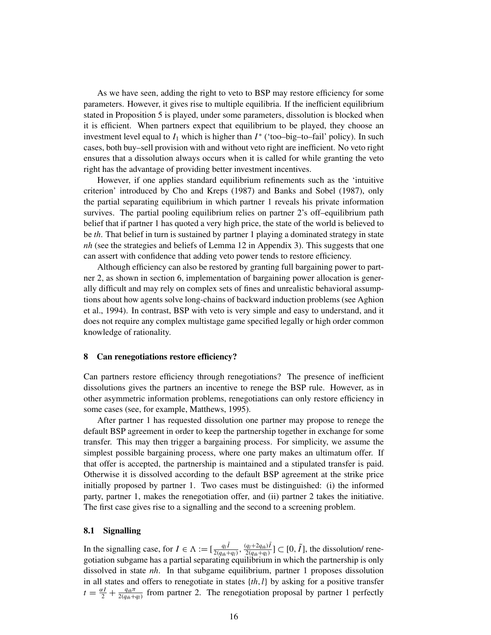As we have seen, adding the right to veto to BSP may restore efficiency for some parameters. However, it gives rise to multiple equilibria. If the inefficient equilibrium stated in Proposition 5 is played, under some parameters, dissolution is blocked when it is efficient. When partners expect that equilibrium to be played, they choose an investment level equal to  $I_1$  which is higher than  $I^*$  ('too–big–to–fail' policy). In such cases, both buy–sell provision with and without veto right are inefficient. No veto right ensures that a dissolution always occurs when it is called for while granting the veto right has the advantage of providing better investment incentives.

However, if one applies standard equilibrium refinements such as the 'intuitive criterion' introduced by Cho and Kreps (1987) and Banks and Sobel (1987), only the partial separating equilibrium in which partner 1 reveals his private information survives. The partial pooling equilibrium relies on partner 2's off–equilibrium path belief that if partner 1 has quoted a very high price, the state of the world is believed to be *th*. That belief in turn is sustained by partner 1 playing a dominated strategy in state *nh* (see the strategies and beliefs of Lemma 12 in Appendix 3). This suggests that one can assert with confidence that adding veto power tends to restore efficiency.

Although efficiency can also be restored by granting full bargaining power to partner 2, as shown in section 6, implementation of bargaining power allocation is generally difficult and may rely on complex sets of fines and unrealistic behavioral assumptions about how agents solve long-chains of backward induction problems (see Aghion et al., 1994). In contrast, BSP with veto is very simple and easy to understand, and it does not require any complex multistage game specified legally or high order common knowledge of rationality.

#### 8 Can renegotiations restore efficiency?

Can partners restore efficiency through renegotiations? The presence of inefficient dissolutions gives the partners an incentive to renege the BSP rule. However, as in other asymmetric information problems, renegotiations can only restore efficiency in some cases (see, for example, Matthews, 1995).

After partner 1 has requested dissolution one partner may propose to renege the default BSP agreement in order to keep the partnership together in exchange for some transfer. This may then trigger a bargaining process. For simplicity, we assume the simplest possible bargaining process, where one party makes an ultimatum offer. If that offer is accepted, the partnership is maintained and a stipulated transfer is paid. Otherwise it is dissolved according to the default BSP agreement at the strike price initially proposed by partner 1. Two cases must be distinguished: (i) the informed party, partner 1, makes the renegotiation offer, and (ii) partner 2 takes the initiative. The first case gives rise to a signalling and the second to a screening problem.

#### 8.1 Signalling

In the signalling case, for  $I \in \Lambda := \left[\frac{q_I \tilde{I}}{2(a_I + 1)}\right]$  $\frac{q_l \tilde{I}}{2(q_{th}+q_l)}, \frac{(q_l+2q_{th})\tilde{I}}{2(q_{th}+q_l)}$  $\frac{(q_l+2q_{th})\tilde{I}}{2(q_{th}+q_l)}$ ] ⊂ [0,  $\tilde{I}$ ], the dissolution/ renegotiation subgame has a partial separating equilibrium in which the partnership is only dissolved in state *nh*. In that subgame equilibrium, partner 1 proposes dissolution in all states and offers to renegotiate in states {*th*,*l*} by asking for a positive transfer  $t = \frac{\alpha I}{2} + \frac{q_{th}\pi}{2(q_{th}+q_l)}$  from partner 2. The renegotiation proposal by partner 1 perfectly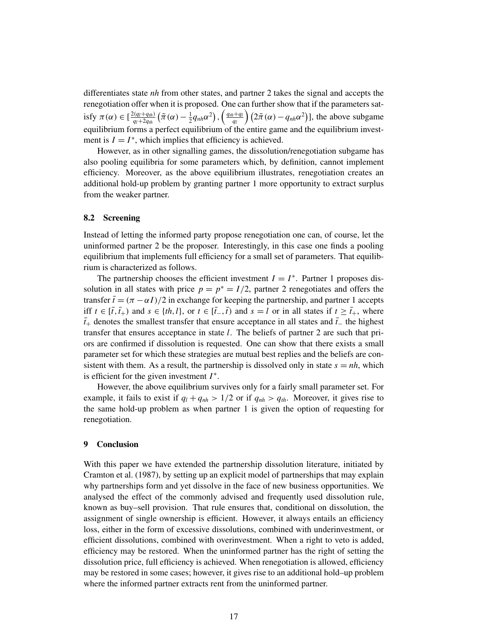differentiates state *nh* from other states, and partner 2 takes the signal and accepts the renegotiation offer when it is proposed. One can further show that if the parameters satisfy  $\pi(\alpha) \in \left[\frac{2(q_l+q_{th})}{q_l+2q_{\alpha}}\right]$  $\frac{d^2(q_l+q_{th})}{q_l+2q_{th}}\left(\tilde{\pi}\left(\alpha\right)-\frac{1}{2}\right)$  $\frac{1}{2}q_{nh}\alpha^2\big),\left(\frac{q_{th}+q_l}{q_l}\right)$  $\left(2\tilde{\pi}(\alpha) - q_{nh}\alpha^2\right)$ ], the above subgame equilibrium forms a perfect equilibrium of the entire game and the equilibrium investment is  $I = I^*$ , which implies that efficiency is achieved.

However, as in other signalling games, the dissolution/renegotiation subgame has also pooling equilibria for some parameters which, by definition, cannot implement efficiency. Moreover, as the above equilibrium illustrates, renegotiation creates an additional hold-up problem by granting partner 1 more opportunity to extract surplus from the weaker partner.

### 8.2 Screening

Instead of letting the informed party propose renegotiation one can, of course, let the uninformed partner 2 be the proposer. Interestingly, in this case one finds a pooling equilibrium that implements full efficiency for a small set of parameters. That equilibrium is characterized as follows.

The partnership chooses the efficient investment  $I = I^*$ . Partner 1 proposes dissolution in all states with price  $p = p^* = I/2$ , partner 2 renegotiates and offers the transfer  $\bar{t} = (\pi - \alpha I)/2$  in exchange for keeping the partnership, and partner 1 accepts iff *t* ∈  $[\bar{t}, \bar{t}_+)$  and  $s \in \{th, l\}$ , or  $t \in [\bar{t}_-, \bar{t})$  and  $s = l$  or in all states if  $t \ge \bar{t}_+$ , where  $\bar{t}_+$  denotes the smallest transfer that ensure acceptance in all states and  $\bar{t}_-$  the highest transfer that ensures acceptance in state *l*. The beliefs of partner 2 are such that priors are confirmed if dissolution is requested. One can show that there exists a small parameter set for which these strategies are mutual best replies and the beliefs are consistent with them. As a result, the partnership is dissolved only in state  $s = nh$ , which is efficient for the given investment *I* ∗ .

However, the above equilibrium survives only for a fairly small parameter set. For example, it fails to exist if  $q_l + q_{nh} > 1/2$  or if  $q_{nh} > q_{th}$ . Moreover, it gives rise to the same hold-up problem as when partner 1 is given the option of requesting for renegotiation.

#### 9 Conclusion

With this paper we have extended the partnership dissolution literature, initiated by Cramton et al. (1987), by setting up an explicit model of partnerships that may explain why partnerships form and yet dissolve in the face of new business opportunities. We analysed the effect of the commonly advised and frequently used dissolution rule, known as buy–sell provision. That rule ensures that, conditional on dissolution, the assignment of single ownership is efficient. However, it always entails an efficiency loss, either in the form of excessive dissolutions, combined with underinvestment, or efficient dissolutions, combined with overinvestment. When a right to veto is added, efficiency may be restored. When the uninformed partner has the right of setting the dissolution price, full efficiency is achieved. When renegotiation is allowed, efficiency may be restored in some cases; however, it gives rise to an additional hold–up problem where the informed partner extracts rent from the uninformed partner.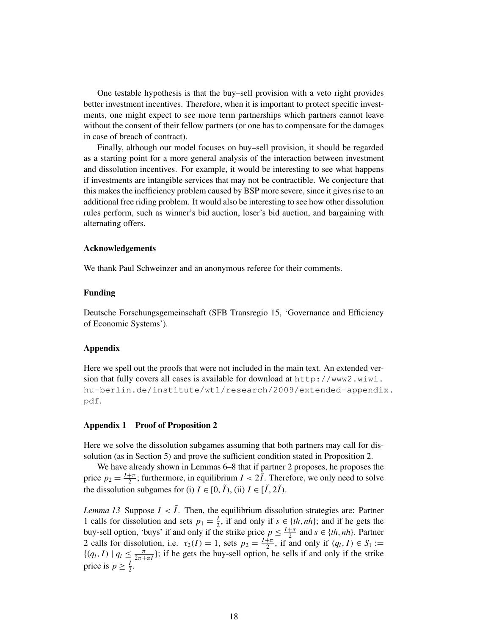One testable hypothesis is that the buy–sell provision with a veto right provides better investment incentives. Therefore, when it is important to protect specific investments, one might expect to see more term partnerships which partners cannot leave without the consent of their fellow partners (or one has to compensate for the damages in case of breach of contract).

Finally, although our model focuses on buy–sell provision, it should be regarded as a starting point for a more general analysis of the interaction between investment and dissolution incentives. For example, it would be interesting to see what happens if investments are intangible services that may not be contractible. We conjecture that this makes the inefficiency problem caused by BSP more severe, since it gives rise to an additional free riding problem. It would also be interesting to see how other dissolution rules perform, such as winner's bid auction, loser's bid auction, and bargaining with alternating offers.

### Acknowledgements

We thank Paul Schweinzer and an anonymous referee for their comments.

# Funding

Deutsche Forschungsgemeinschaft (SFB Transregio 15, 'Governance and Efficiency of Economic Systems').

#### Appendix

Here we spell out the proofs that were not included in the main text. An extended version that fully covers all cases is available for download at http://www2.wiwi. hu-berlin.de/institute/wt1/research/2009/extended-appendix. pdf.

#### Appendix 1 Proof of Proposition 2

Here we solve the dissolution subgames assuming that both partners may call for dissolution (as in Section 5) and prove the sufficient condition stated in Proposition 2.

We have already shown in Lemmas 6–8 that if partner 2 proposes, he proposes the price  $p_2 = \frac{I + \pi}{2}$  $\frac{1}{2}$ ; furthermore, in equilibrium  $I < 2I$ . Therefore, we only need to solve the dissolution subgames for (i)  $I \in [0, \tilde{I})$ , (ii)  $I \in [\tilde{I}, 2\tilde{I})$ .

*Lemma 13* Suppose  $I < \tilde{I}$ . Then, the equilibrium dissolution strategies are: Partner 1 calls for dissolution and sets  $p_1 = \frac{1}{2}$  $\frac{1}{2}$ , if and only if  $s \in \{th, nh\}$ ; and if he gets the buy-sell option, 'buys' if and only if the strike price  $p \leq \frac{1+\pi}{2}$  $\frac{1}{2}$  and  $s \in \{th, nh\}$ . Partner 2 calls for dissolution, i.e.  $\tau_2(I) = 1$ , sets  $p_2 = \frac{I + \pi}{2}$  $\frac{1}{2}$ , if and only if  $(q_l, I) \in S_1 :=$  $\{(q_l, I) \mid q_l \leq \frac{\pi}{2\pi + \alpha I}\}\;$  if he gets the buy-sell option, he sells if and only if the strike price is  $p \geq \frac{1}{2}$  $rac{1}{2}$ .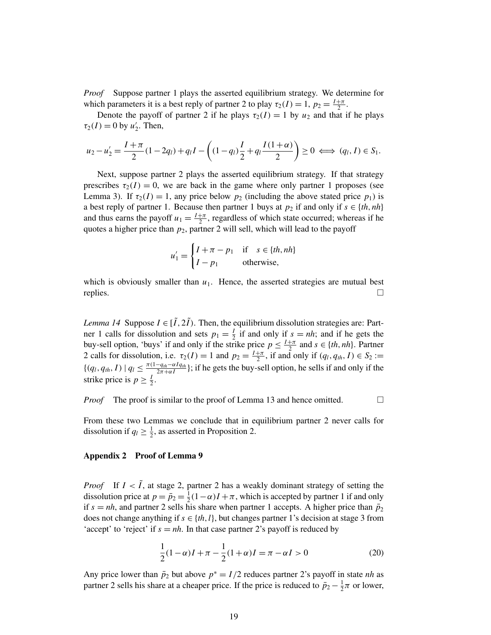*Proof* Suppose partner 1 plays the asserted equilibrium strategy. We determine for which parameters it is a best reply of partner 2 to play  $\tau_2(I) = 1$ ,  $p_2 = \frac{I + \pi}{2}$  $rac{+\pi}{2}$ .

Denote the payoff of partner 2 if he plays  $\tau_2(I) = 1$  by  $u_2$  and that if he plays  $\tau_2(I) = 0$  by  $u'_2$  $\frac{1}{2}$ . Then,

$$
u_2 - u_2' = \frac{I + \pi}{2} (1 - 2q_l) + q_l I - \left( (1 - q_l) \frac{I}{2} + q_l \frac{I(1 + \alpha)}{2} \right) \ge 0 \iff (q_l, I) \in S_1.
$$

Next, suppose partner 2 plays the asserted equilibrium strategy. If that strategy prescribes  $\tau_2(I) = 0$ , we are back in the game where only partner 1 proposes (see Lemma 3). If  $\tau_2(I) = 1$ , any price below  $p_2$  (including the above stated price  $p_1$ ) is a best reply of partner 1. Because then partner 1 buys at  $p_2$  if and only if  $s \in \{th, nh\}$ and thus earns the payoff  $u_1 = \frac{I + \pi}{2}$  $\frac{2+\pi}{2}$ , regardless of which state occurred; whereas if he quotes a higher price than  $p_2$ , partner 2 will sell, which will lead to the payoff

$$
u'_{1} = \begin{cases} I + \pi - p_{1} & \text{if } s \in \{th, nh\} \\ I - p_{1} & \text{otherwise,} \end{cases}
$$

which is obviously smaller than  $u_1$ . Hence, the asserted strategies are mutual best replies.

*Lemma 14* Suppose  $I \in [\tilde{I}, 2\tilde{I})$ . Then, the equilibrium dissolution strategies are: Partner 1 calls for dissolution and sets  $p_1 = \frac{1}{2}$  $\frac{1}{2}$  if and only if  $s = nh$ ; and if he gets the buy-sell option, 'buys' if and only if the strike price  $p \leq \frac{1+\pi}{2}$  $\frac{1}{2}$  and  $s \in \{th, nh\}$ . Partner 2 calls for dissolution, i.e.  $\tau_2(I) = 1$  and  $p_2 = \frac{I + \pi}{2}$ , if and only if  $(q_l, q_{th}, I) \in S_2 :=$  ${(q_l, q_{th}, I) | q_l \leq \frac{\pi(1-q_{th}-\alpha Iq_{th})}{\pi + \alpha I}}$ ; if he gets the buy-s  $\frac{-q_{th} - \alpha I q_{th}}{2\pi + \alpha I}$ ; if he gets the buy-sell option, he sells if and only if the strike price is  $p \geq \frac{1}{2}$  $rac{1}{2}$ .

*Proof* The proof is similar to the proof of Lemma 13 and hence omitted.

From these two Lemmas we conclude that in equilibrium partner 2 never calls for dissolution if  $q_l \geq \frac{1}{2}$  $\frac{1}{2}$ , as asserted in Proposition 2.

# Appendix 2 Proof of Lemma 9

*Proof* If  $I < \tilde{I}$ , at stage 2, partner 2 has a weakly dominant strategy of setting the dissolution price at  $p = \bar{p}_2 = \frac{1}{2}$  $\frac{1}{2}(1-\alpha)I + \pi$ , which is accepted by partner 1 if and only if  $s = nh$ , and partner 2 sells his share when partner 1 accepts. A higher price than  $\bar{p}_2$ does not change anything if  $s \in \{th, l\}$ , but changes partner 1's decision at stage 3 from 'accept' to 'reject' if  $s = nh$ . In that case partner 2's payoff is reduced by

$$
\frac{1}{2}(1-\alpha)I + \pi - \frac{1}{2}(1+\alpha)I = \pi - \alpha I > 0
$$
\n(20)

Any price lower than  $\bar{p}_2$  but above  $p^* = I/2$  reduces partner 2's payoff in state *nh* as partner 2 sells his share at a cheaper price. If the price is reduced to  $\bar{p}_2 - \frac{1}{2}$  $\frac{1}{2}\pi$  or lower,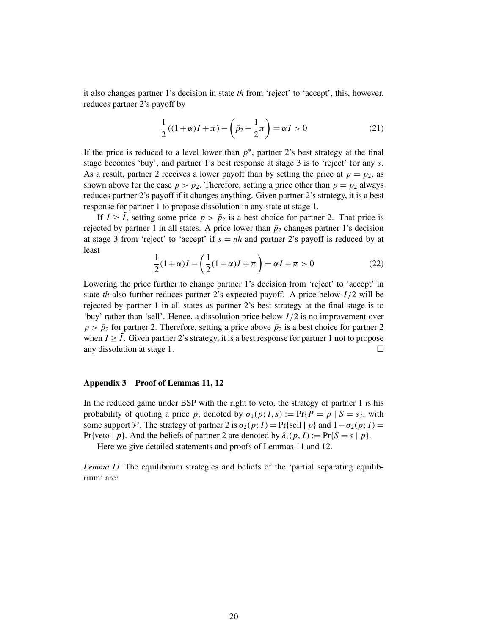it also changes partner 1's decision in state *th* from 'reject' to 'accept', this, however, reduces partner 2's payoff by

$$
\frac{1}{2}((1+\alpha)I + \pi) - \left(\bar{p}_2 - \frac{1}{2}\pi\right) = \alpha I > 0
$$
\n(21)

If the price is reduced to a level lower than  $p^*$ , partner 2's best strategy at the final stage becomes 'buy', and partner 1's best response at stage 3 is to 'reject' for any *s*. As a result, partner 2 receives a lower payoff than by setting the price at  $p = \bar{p}_2$ , as shown above for the case  $p > \bar{p}_2$ . Therefore, setting a price other than  $p = \bar{p}_2$  always reduces partner 2's payoff if it changes anything. Given partner 2's strategy, it is a best response for partner 1 to propose dissolution in any state at stage 1.

If  $I \geq I$ , setting some price  $p > \bar{p}_2$  is a best choice for partner 2. That price is rejected by partner 1 in all states. A price lower than  $\bar{p}_2$  changes partner 1's decision at stage 3 from 'reject' to 'accept' if  $s = nh$  and partner 2's payoff is reduced by at least

$$
\frac{1}{2}(1+\alpha)I - \left(\frac{1}{2}(1-\alpha)I + \pi\right) = \alpha I - \pi > 0
$$
\n(22)

Lowering the price further to change partner 1's decision from 'reject' to 'accept' in state *th* also further reduces partner 2's expected payoff. A price below *I* /2 will be rejected by partner 1 in all states as partner 2's best strategy at the final stage is to 'buy' rather than 'sell'. Hence, a dissolution price below *I* /2 is no improvement over  $p > \bar{p}_2$  for partner 2. Therefore, setting a price above  $\bar{p}_2$  is a best choice for partner 2 when  $I \geq I$ . Given partner 2's strategy, it is a best response for partner 1 not to propose any dissolution at stage 1.  $\Box$ 

# Appendix 3 Proof of Lemmas 11, 12

In the reduced game under BSP with the right to veto, the strategy of partner 1 is his probability of quoting a price *p*, denoted by  $\sigma_1(p; I, s) := \Pr\{P = p | S = s\}$ , with some support P. The strategy of partner 2 is  $\sigma_2(p; I) = Pr\{\text{sell} | p\}$  and  $1 - \sigma_2(p; I) =$ Pr{veto  $|p\rangle$ . And the beliefs of partner 2 are denoted by  $\delta_s(p, I) := Pr\{S = s | p\}$ .

Here we give detailed statements and proofs of Lemmas 11 and 12.

*Lemma 11* The equilibrium strategies and beliefs of the 'partial separating equilibrium' are: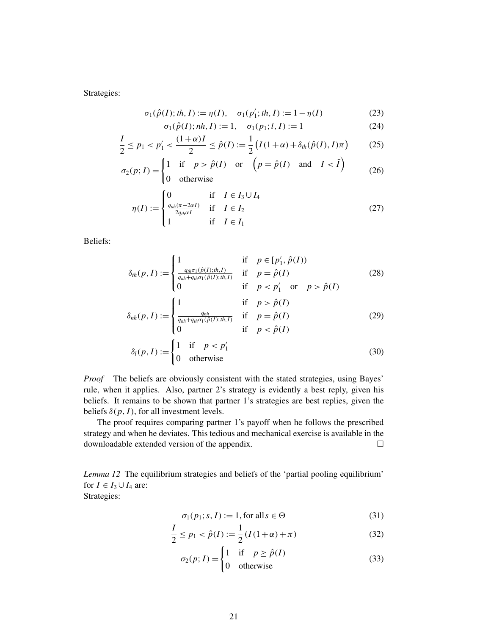Strategies:

$$
\sigma_1(\hat{p}(I);th, I) := \eta(I), \quad \sigma_1(p'_1;th, I) := 1 - \eta(I)
$$
\n(23)

$$
\sigma_1(\hat{p}(I); nh, I) := 1, \quad \sigma_1(p_1; l, I) := 1 \tag{24}
$$

$$
\frac{I}{2} \le p_1 < p_1' < \frac{(1+\alpha)I}{2} \le \hat{p}(I) := \frac{1}{2} \left( I(1+\alpha) + \delta_{th}(\hat{p}(I), I)\pi \right) \tag{25}
$$

$$
\sigma_2(p; I) = \begin{cases} 1 & \text{if } p > \hat{p}(I) \quad \text{or} \quad \left(p = \hat{p}(I) \quad \text{and} \quad I < \tilde{I} \right) \\ 0 & \text{otherwise} \end{cases} \tag{26}
$$

$$
\eta(I) := \begin{cases}\n0 & \text{if } I \in I_3 \cup I_4 \\
\frac{q_{nh}(\pi - 2\alpha I)}{2q_{th}\alpha I} & \text{if } I \in I_2 \\
1 & \text{if } I \in I_1\n\end{cases}
$$
\n(27)

Beliefs:

$$
\delta_{th}(p, I) := \begin{cases}\n1 & \text{if } p \in [p'_1, \hat{p}(I)) \\
\frac{q_{th}\sigma_1(\hat{p}(I);th, I)}{q_{nh} + q_{th}\sigma_1(\hat{p}(I);th, I)} & \text{if } p = \hat{p}(I) \\
0 & \text{if } p < p'_1 \text{ or } p > \hat{p}(I)\n\end{cases} \tag{28}
$$

$$
\delta_{nh}(p, I) := \begin{cases}\n1 & \text{if } p > \hat{p}(I) \\
\frac{q_{nh}}{q_{nh} + q_{th}\sigma_1(\hat{p}(I); th, I)} & \text{if } p = \hat{p}(I) \\
0 & \text{if } p < \hat{p}(I)\n\end{cases}
$$
\n(29)

$$
\delta_l(p, I) := \begin{cases} 1 & \text{if } p < p'_1 \\ 0 & \text{otherwise} \end{cases} \tag{30}
$$

*Proof* The beliefs are obviously consistent with the stated strategies, using Bayes' rule, when it applies. Also, partner 2's strategy is evidently a best reply, given his beliefs. It remains to be shown that partner 1's strategies are best replies, given the beliefs  $\delta(p, I)$ , for all investment levels.

The proof requires comparing partner 1's payoff when he follows the prescribed strategy and when he deviates. This tedious and mechanical exercise is available in the downloadable extended version of the appendix.

*Lemma 12* The equilibrium strategies and beliefs of the 'partial pooling equilibrium' for  $I \in I_3 \cup I_4$  are: Strategies:

$$
\sigma_1(p_1; s, I) := 1, \text{for all } s \in \Theta \tag{31}
$$

$$
\frac{I}{2} \le p_1 < \hat{p}(I) := \frac{1}{2} \left( I(1+\alpha) + \pi \right) \tag{32}
$$

$$
\sigma_2(p; I) = \begin{cases} 1 & \text{if } p \ge \hat{p}(I) \\ 0 & \text{otherwise} \end{cases}
$$
 (33)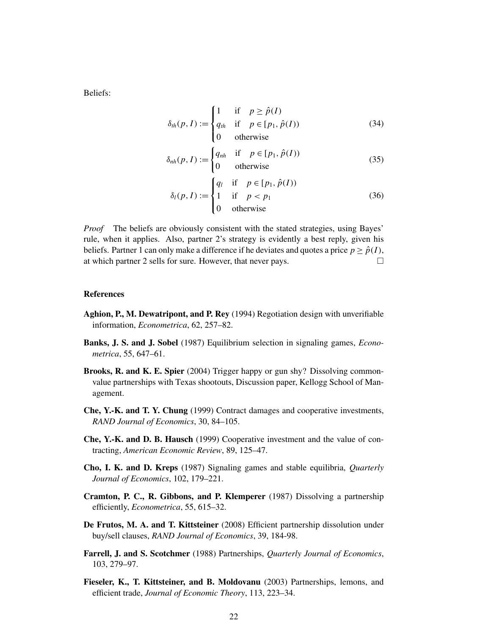Beliefs:

$$
\delta_{th}(p, I) := \begin{cases}\n1 & \text{if } p \ge \hat{p}(I) \\
q_{th} & \text{if } p \in [p_1, \hat{p}(I)) \\
0 & \text{otherwise}\n\end{cases}
$$
\n(34)

$$
\delta_{nh}(p, I) := \begin{cases} q_{nh} & \text{if } p \in [p_1, \hat{p}(I)) \\ 0 & \text{otherwise} \end{cases}
$$
 (35)

$$
\delta_l(p, I) := \begin{cases}\nq_l & \text{if } p \in [p_1, \hat{p}(I)) \\
1 & \text{if } p < p_1 \\
0 & \text{otherwise}\n\end{cases} \tag{36}
$$

*Proof* The beliefs are obviously consistent with the stated strategies, using Bayes' rule, when it applies. Also, partner 2's strategy is evidently a best reply, given his beliefs. Partner 1 can only make a difference if he deviates and quotes a price  $p \geq \hat{p}(I)$ , at which partner 2 sells for sure. However, that never pays.

#### References

- Aghion, P., M. Dewatripont, and P. Rey (1994) Regotiation design with unverifiable information, *Econometrica*, 62, 257–82.
- Banks, J. S. and J. Sobel (1987) Equilibrium selection in signaling games, *Econometrica*, 55, 647–61.
- Brooks, R. and K. E. Spier (2004) Trigger happy or gun shy? Dissolving commonvalue partnerships with Texas shootouts, Discussion paper, Kellogg School of Management.
- Che, Y.-K. and T. Y. Chung (1999) Contract damages and cooperative investments, *RAND Journal of Economics*, 30, 84–105.
- Che, Y.-K. and D. B. Hausch (1999) Cooperative investment and the value of contracting, *American Economic Review*, 89, 125–47.
- Cho, I. K. and D. Kreps (1987) Signaling games and stable equilibria, *Quarterly Journal of Economics*, 102, 179–221.
- Cramton, P. C., R. Gibbons, and P. Klemperer (1987) Dissolving a partnership efficiently, *Econometrica*, 55, 615–32.
- De Frutos, M. A. and T. Kittsteiner (2008) Efficient partnership dissolution under buy/sell clauses, *RAND Journal of Economics*, 39, 184-98.
- Farrell, J. and S. Scotchmer (1988) Partnerships, *Quarterly Journal of Economics*, 103, 279–97.
- Fieseler, K., T. Kittsteiner, and B. Moldovanu (2003) Partnerships, lemons, and efficient trade, *Journal of Economic Theory*, 113, 223–34.